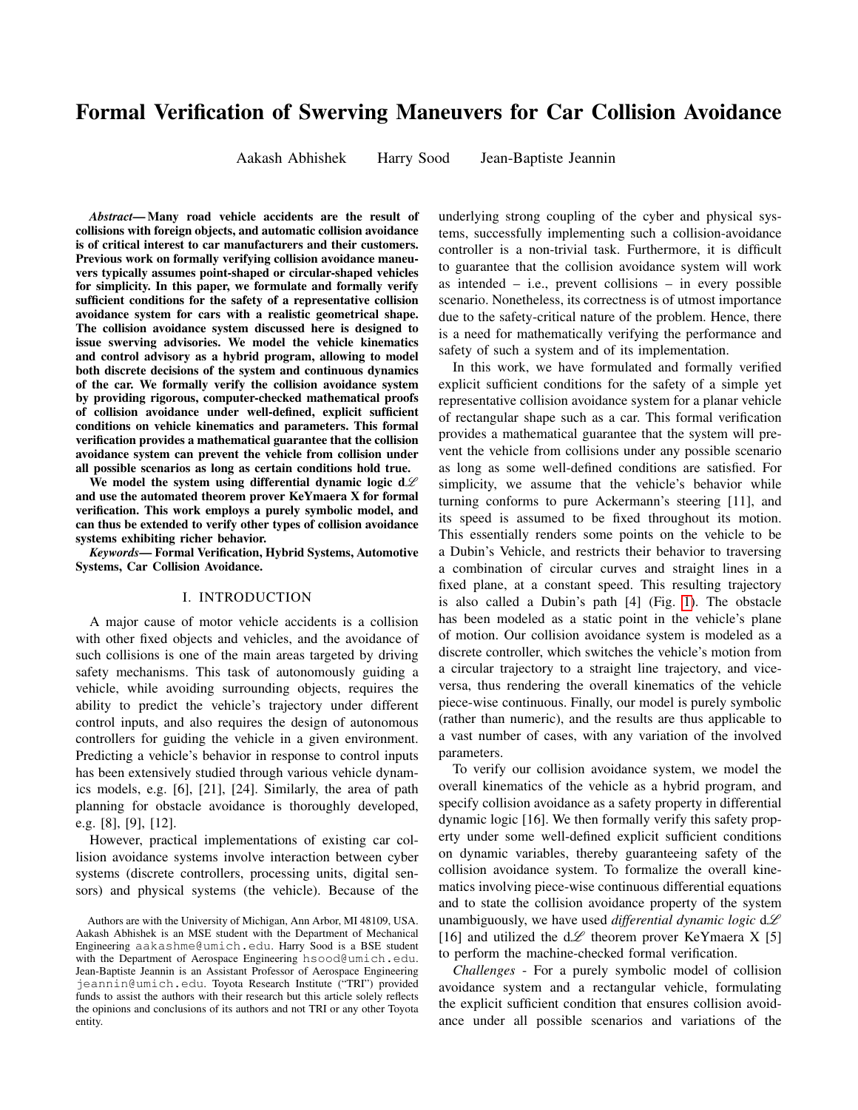# Formal Verification of Swerving Maneuvers for Car Collision Avoidance

Aakash Abhishek Harry Sood Jean-Baptiste Jeannin

*Abstract*— Many road vehicle accidents are the result of collisions with foreign objects, and automatic collision avoidance is of critical interest to car manufacturers and their customers. Previous work on formally verifying collision avoidance maneuvers typically assumes point-shaped or circular-shaped vehicles for simplicity. In this paper, we formulate and formally verify sufficient conditions for the safety of a representative collision avoidance system for cars with a realistic geometrical shape. The collision avoidance system discussed here is designed to issue swerving advisories. We model the vehicle kinematics and control advisory as a hybrid program, allowing to model both discrete decisions of the system and continuous dynamics of the car. We formally verify the collision avoidance system by providing rigorous, computer-checked mathematical proofs of collision avoidance under well-defined, explicit sufficient conditions on vehicle kinematics and parameters. This formal verification provides a mathematical guarantee that the collision avoidance system can prevent the vehicle from collision under all possible scenarios as long as certain conditions hold true.

We model the system using differential dynamic logic  $d\mathscr{L}$ and use the automated theorem prover KeYmaera X for formal verification. This work employs a purely symbolic model, and can thus be extended to verify other types of collision avoidance systems exhibiting richer behavior.

*Keywords*— Formal Verification, Hybrid Systems, Automotive Systems, Car Collision Avoidance.

### I. INTRODUCTION

A major cause of motor vehicle accidents is a collision with other fixed objects and vehicles, and the avoidance of such collisions is one of the main areas targeted by driving safety mechanisms. This task of autonomously guiding a vehicle, while avoiding surrounding objects, requires the ability to predict the vehicle's trajectory under different control inputs, and also requires the design of autonomous controllers for guiding the vehicle in a given environment. Predicting a vehicle's behavior in response to control inputs has been extensively studied through various vehicle dynamics models, e.g. [6], [21], [24]. Similarly, the area of path planning for obstacle avoidance is thoroughly developed, e.g. [8], [9], [12].

However, practical implementations of existing car collision avoidance systems involve interaction between cyber systems (discrete controllers, processing units, digital sensors) and physical systems (the vehicle). Because of the underlying strong coupling of the cyber and physical systems, successfully implementing such a collision-avoidance controller is a non-trivial task. Furthermore, it is difficult to guarantee that the collision avoidance system will work as intended  $-$  i.e., prevent collisions  $-$  in every possible scenario. Nonetheless, its correctness is of utmost importance due to the safety-critical nature of the problem. Hence, there is a need for mathematically verifying the performance and safety of such a system and of its implementation.

In this work, we have formulated and formally verified explicit sufficient conditions for the safety of a simple yet representative collision avoidance system for a planar vehicle of rectangular shape such as a car. This formal verification provides a mathematical guarantee that the system will prevent the vehicle from collisions under any possible scenario as long as some well-defined conditions are satisfied. For simplicity, we assume that the vehicle's behavior while turning conforms to pure Ackermann's steering [11], and its speed is assumed to be fixed throughout its motion. This essentially renders some points on the vehicle to be a Dubin's Vehicle, and restricts their behavior to traversing a combination of circular curves and straight lines in a fixed plane, at a constant speed. This resulting trajectory is also called a Dubin's path [4] (Fig. [1\)](#page-1-0). The obstacle has been modeled as a static point in the vehicle's plane of motion. Our collision avoidance system is modeled as a discrete controller, which switches the vehicle's motion from a circular trajectory to a straight line trajectory, and viceversa, thus rendering the overall kinematics of the vehicle piece-wise continuous. Finally, our model is purely symbolic (rather than numeric), and the results are thus applicable to a vast number of cases, with any variation of the involved parameters.

To verify our collision avoidance system, we model the overall kinematics of the vehicle as a hybrid program, and specify collision avoidance as a safety property in differential dynamic logic [16]. We then formally verify this safety property under some well-defined explicit sufficient conditions on dynamic variables, thereby guaranteeing safety of the collision avoidance system. To formalize the overall kinematics involving piece-wise continuous differential equations and to state the collision avoidance property of the system unambiguously, we have used *differential dynamic logic*  $d\mathscr{L}$ [16] and utilized the  $d\mathscr{L}$  theorem prover KeYmaera X [5] to perform the machine-checked formal verification.

*Challenges* - For a purely symbolic model of collision avoidance system and a rectangular vehicle, formulating the explicit sufficient condition that ensures collision avoidance under all possible scenarios and variations of the

Authors are with the University of Michigan, Ann Arbor, MI 48109, USA. Aakash Abhishek is an MSE student with the Department of Mechanical Engineering aakashme@umich.edu. Harry Sood is a BSE student with the Department of Aerospace Engineering hsood@umich.edu. Jean-Baptiste Jeannin is an Assistant Professor of Aerospace Engineering jeannin@umich.edu. Toyota Research Institute ("TRI") provided funds to assist the authors with their research but this article solely reflects the opinions and conclusions of its authors and not TRI or any other Toyota entity.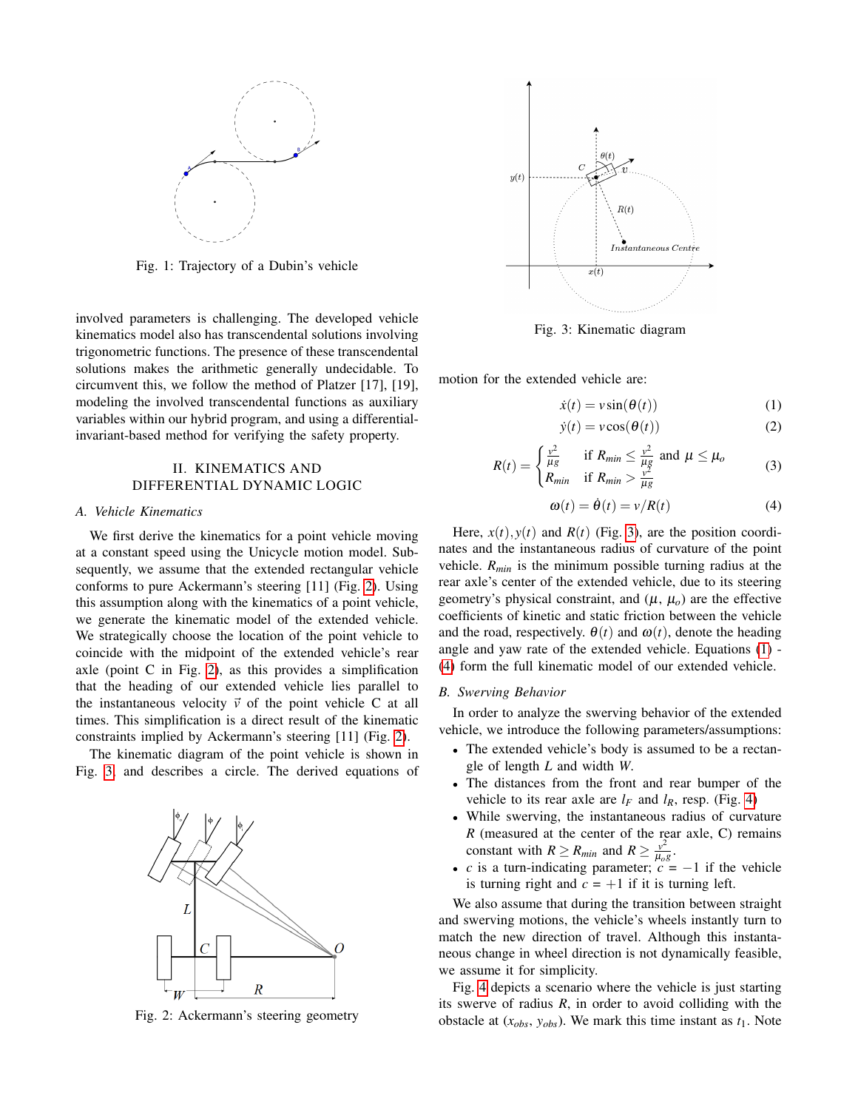<span id="page-1-0"></span>

Fig. 1: Trajectory of a Dubin's vehicle

involved parameters is challenging. The developed vehicle kinematics model also has transcendental solutions involving trigonometric functions. The presence of these transcendental solutions makes the arithmetic generally undecidable. To circumvent this, we follow the method of Platzer [17], [19], modeling the involved transcendental functions as auxiliary variables within our hybrid program, and using a differentialinvariant-based method for verifying the safety property.

## II. KINEMATICS AND DIFFERENTIAL DYNAMIC LOGIC

### *A. Vehicle Kinematics*

We first derive the kinematics for a point vehicle moving at a constant speed using the Unicycle motion model. Subsequently, we assume that the extended rectangular vehicle conforms to pure Ackermann's steering [11] (Fig. [2\)](#page-1-1). Using this assumption along with the kinematics of a point vehicle, we generate the kinematic model of the extended vehicle. We strategically choose the location of the point vehicle to coincide with the midpoint of the extended vehicle's rear axle (point C in Fig. [2\)](#page-1-1), as this provides a simplification that the heading of our extended vehicle lies parallel to the instantaneous velocity  $\vec{v}$  of the point vehicle C at all times. This simplification is a direct result of the kinematic constraints implied by Ackermann's steering [11] (Fig. [2\)](#page-1-1).

<span id="page-1-1"></span>The kinematic diagram of the point vehicle is shown in Fig. [3,](#page-1-2) and describes a circle. The derived equations of



Fig. 2: Ackermann's steering geometry

<span id="page-1-2"></span>

Fig. 3: Kinematic diagram

motion for the extended vehicle are:

<span id="page-1-3"></span>
$$
\dot{x}(t) = v \sin(\theta(t)) \tag{1}
$$

$$
\dot{y}(t) = v \cos(\theta(t)) \tag{2}
$$

$$
R(t) = \begin{cases} \frac{v^2}{\mu g} & \text{if } R_{min} \le \frac{v^2}{\mu g} \text{ and } \mu \le \mu_o \\ R_{min} & \text{if } R_{min} > \frac{v^2}{\mu g} \end{cases}
$$
(3)

<span id="page-1-4"></span>
$$
\omega(t) = \dot{\theta}(t) = v/R(t)
$$
\n(4)

Here,  $x(t)$ ,  $y(t)$  and  $R(t)$  (Fig. [3\)](#page-1-2), are the position coordinates and the instantaneous radius of curvature of the point vehicle. *Rmin* is the minimum possible turning radius at the rear axle's center of the extended vehicle, due to its steering geometry's physical constraint, and  $(\mu, \mu_o)$  are the effective coefficients of kinetic and static friction between the vehicle and the road, respectively.  $\theta(t)$  and  $\omega(t)$ , denote the heading angle and yaw rate of the extended vehicle. Equations [\(1\)](#page-1-3) - [\(4\)](#page-1-4) form the full kinematic model of our extended vehicle.

## *B. Swerving Behavior*

In order to analyze the swerving behavior of the extended vehicle, we introduce the following parameters/assumptions:

- The extended vehicle's body is assumed to be a rectangle of length *L* and width *W*.
- The distances from the front and rear bumper of the vehicle to its rear axle are  $l_F$  and  $l_R$ , resp. (Fig. [4\)](#page-2-0)
- While swerving, the instantaneous radius of curvature *R* (measured at the center of the rear axle, C) remains constant with  $R \ge R_{min}$  and  $R \ge \frac{v^2}{\mu_0}$  $\frac{v^2}{\mu_o g}$ .
- *c* is a turn-indicating parameter;  $c = -1$  if the vehicle is turning right and  $c = +1$  if it is turning left.

We also assume that during the transition between straight and swerving motions, the vehicle's wheels instantly turn to match the new direction of travel. Although this instantaneous change in wheel direction is not dynamically feasible, we assume it for simplicity.

Fig. [4](#page-2-0) depicts a scenario where the vehicle is just starting its swerve of radius *R*, in order to avoid colliding with the obstacle at  $(x_{obs}, y_{obs})$ . We mark this time instant as  $t_1$ . Note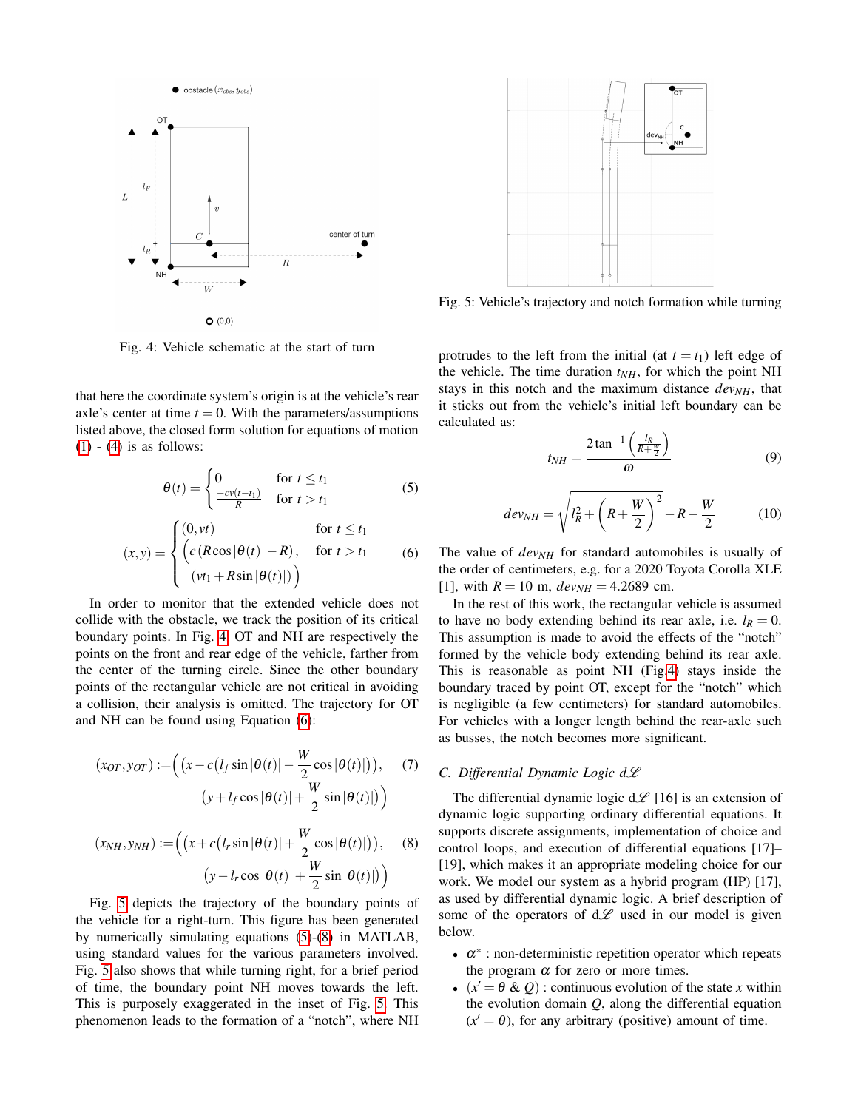<span id="page-2-0"></span>

Fig. 4: Vehicle schematic at the start of turn

that here the coordinate system's origin is at the vehicle's rear axle's center at time  $t = 0$ . With the parameters/assumptions listed above, the closed form solution for equations of motion  $(1) - (4)$  $(1) - (4)$  $(1) - (4)$  is as follows:

<span id="page-2-3"></span>
$$
\theta(t) = \begin{cases} 0 & \text{for } t \le t_1 \\ \frac{-cv(t-t_1)}{R} & \text{for } t > t_1 \end{cases} \tag{5}
$$

<span id="page-2-1"></span>
$$
(x,y) = \begin{cases} (0,vt) & \text{for } t \le t_1 \\ \left( c \left( R \cos |\theta(t)| - R \right), & \text{for } t > t_1 \\ \left( vt_1 + R \sin |\theta(t)| \right) \right) \end{cases}
$$
 (6)

In order to monitor that the extended vehicle does not collide with the obstacle, we track the position of its critical boundary points. In Fig. [4,](#page-2-0) OT and NH are respectively the points on the front and rear edge of the vehicle, farther from the center of the turning circle. Since the other boundary points of the rectangular vehicle are not critical in avoiding a collision, their analysis is omitted. The trajectory for OT and NH can be found using Equation [\(6\)](#page-2-1):

$$
(x_{OT}, y_{OT}) := \left( \left( x - c \left( l_f \sin |\theta(t)| - \frac{W}{2} \cos |\theta(t)| \right) \right), \quad (7) \\ \left( y + l_f \cos |\theta(t)| + \frac{W}{2} \sin |\theta(t)| \right) \right)
$$

$$
(x_{NH}, y_{NH}) := \left( \left( x + c \left( l_r \sin \left| \theta(t) \right| + \frac{W}{2} \cos \left| \theta(t) \right| \right) \right), \quad (8)
$$

$$
\left( y - l_r \cos \left| \theta(t) \right| + \frac{W}{2} \sin \left| \theta(t) \right| \right) \right)
$$

Fig. [5](#page-2-2) depicts the trajectory of the boundary points of the vehicle for a right-turn. This figure has been generated by numerically simulating equations [\(5\)](#page-2-3)-[\(8\)](#page-2-4) in MATLAB, using standard values for the various parameters involved. Fig. [5](#page-2-2) also shows that while turning right, for a brief period of time, the boundary point NH moves towards the left. This is purposely exaggerated in the inset of Fig. [5.](#page-2-2) This phenomenon leads to the formation of a "notch", where NH

<span id="page-2-2"></span>

Fig. 5: Vehicle's trajectory and notch formation while turning

protrudes to the left from the initial (at  $t = t_1$ ) left edge of the vehicle. The time duration  $t_{NH}$ , for which the point NH stays in this notch and the maximum distance *devNH*, that it sticks out from the vehicle's initial left boundary can be calculated as:

$$
t_{NH} = \frac{2\tan^{-1}\left(\frac{l_R}{R + \frac{w}{2}}\right)}{\omega} \tag{9}
$$

$$
dev_{NH} = \sqrt{l_R^2 + \left(R + \frac{W}{2}\right)^2} - R - \frac{W}{2}
$$
 (10)

The value of  $dev_{NH}$  for standard automobiles is usually of the order of centimeters, e.g. for a 2020 Toyota Corolla XLE [1], with  $R = 10$  m,  $dev<sub>NH</sub> = 4.2689$  cm.

In the rest of this work, the rectangular vehicle is assumed to have no body extending behind its rear axle, i.e.  $l_R = 0$ . This assumption is made to avoid the effects of the "notch" formed by the vehicle body extending behind its rear axle. This is reasonable as point NH (Fig[.4\)](#page-2-0) stays inside the boundary traced by point OT, except for the "notch" which is negligible (a few centimeters) for standard automobiles. For vehicles with a longer length behind the rear-axle such as busses, the notch becomes more significant.

### *C. Differential Dynamic Logic d*L

<span id="page-2-4"></span>The differential dynamic logic  $d\mathcal{L}$  [16] is an extension of dynamic logic supporting ordinary differential equations. It supports discrete assignments, implementation of choice and control loops, and execution of differential equations [17]– [19], which makes it an appropriate modeling choice for our work. We model our system as a hybrid program (HP) [17], as used by differential dynamic logic. A brief description of some of the operators of  $d\mathscr{L}$  used in our model is given below.

- $\bullet$   $\alpha^*$  : non-deterministic repetition operator which repeats the program  $\alpha$  for zero or more times.
- $(x' = \theta \& Q)$ : continuous evolution of the state *x* within the evolution domain *Q*, along the differential equation  $(x' = \theta)$ , for any arbitrary (positive) amount of time.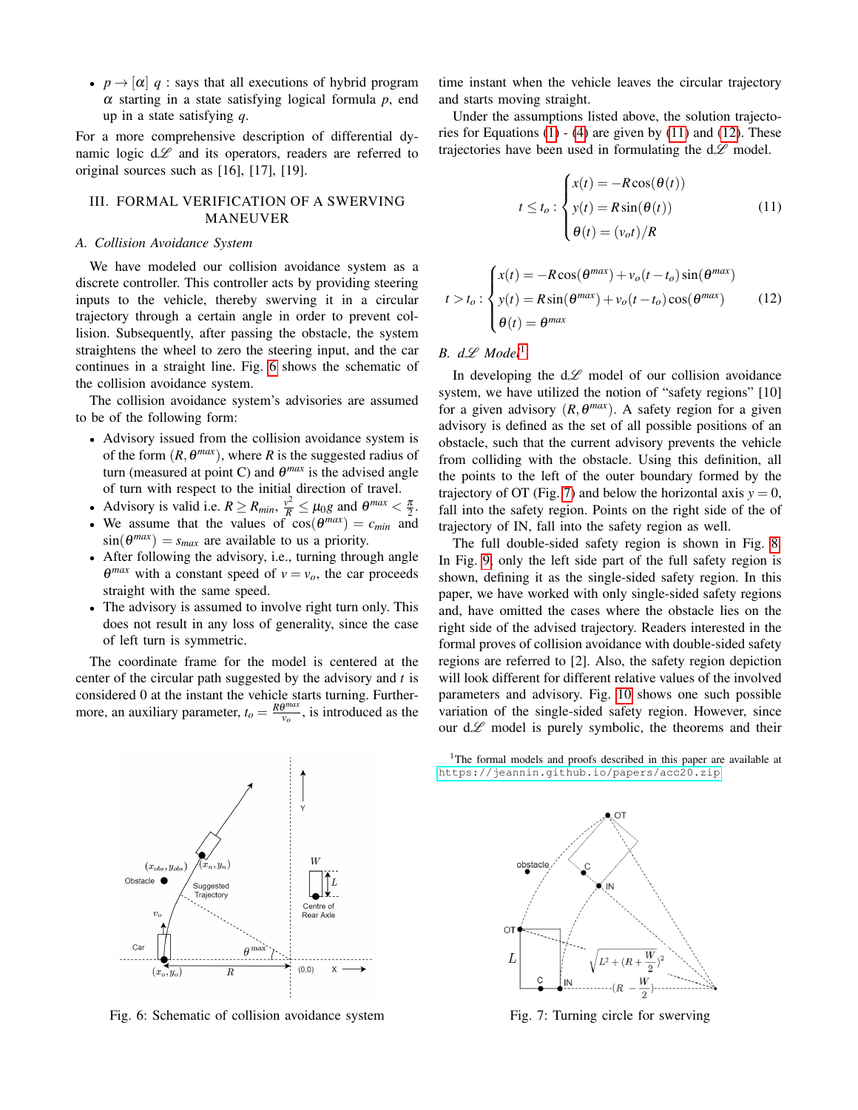•  $p \rightarrow |\alpha|$  *q* : says that all executions of hybrid program α starting in a state satisfying logical formula *p*, end up in a state satisfying *q*.

For a more comprehensive description of differential dynamic logic  $d\mathscr{L}$  and its operators, readers are referred to original sources such as [16], [17], [19].

# III. FORMAL VERIFICATION OF A SWERVING MANEUVER

### *A. Collision Avoidance System*

We have modeled our collision avoidance system as a discrete controller. This controller acts by providing steering inputs to the vehicle, thereby swerving it in a circular trajectory through a certain angle in order to prevent collision. Subsequently, after passing the obstacle, the system straightens the wheel to zero the steering input, and the car continues in a straight line. Fig. [6](#page-3-0) shows the schematic of the collision avoidance system.

The collision avoidance system's advisories are assumed to be of the following form:

- Advisory issued from the collision avoidance system is of the form  $(R, \theta^{max})$ , where *R* is the suggested radius of turn (measured at point C) and  $\theta^{max}$  is the advised angle of turn with respect to the initial direction of travel.
- Advisory is valid i.e.  $R \ge R_{min}$ ,  $\frac{v^2}{R} \le \mu_{0}g$  and  $\theta^{max} < \frac{\pi}{2}$ .
- We assume that the values of  $cos(\theta^{max}) = c_{min}$  and  $\sin(\theta^{max}) = s_{max}$  are available to us a priority.
- After following the advisory, i.e., turning through angle  $\theta^{max}$  with a constant speed of  $v = v_o$ , the car proceeds straight with the same speed.
- The advisory is assumed to involve right turn only. This does not result in any loss of generality, since the case of left turn is symmetric.

The coordinate frame for the model is centered at the center of the circular path suggested by the advisory and *t* is considered 0 at the instant the vehicle starts turning. Furthermore, an auxiliary parameter,  $t_o = \frac{R\theta^{max}}{v_o}$  $\frac{\partial u}{\partial v_o}$ , is introduced as the

time instant when the vehicle leaves the circular trajectory and starts moving straight.

Under the assumptions listed above, the solution trajectories for Equations  $(1)$  -  $(4)$  are given by  $(11)$  and  $(12)$ . These trajectories have been used in formulating the  $d\mathscr{L}$  model.

<span id="page-3-1"></span>
$$
t \le t_o : \begin{cases} x(t) = -R\cos(\theta(t)) \\ y(t) = R\sin(\theta(t)) \\ \theta(t) = (v_o t)/R \end{cases}
$$
(11)

<span id="page-3-2"></span>
$$
t > t_o : \begin{cases} x(t) = -R\cos(\theta^{max}) + v_o(t - t_o)\sin(\theta^{max}) \\ y(t) = R\sin(\theta^{max}) + v_o(t - t_o)\cos(\theta^{max}) \\ \theta(t) = \theta^{max} \end{cases}
$$
(12)

## *B.*  $dL$  *Model*<sup>[1](#page-3-3)</sup>

In developing the  $d\mathcal{L}$  model of our collision avoidance system, we have utilized the notion of "safety regions" [10] for a given advisory  $(R, \theta^{max})$ . A safety region for a given advisory is defined as the set of all possible positions of an obstacle, such that the current advisory prevents the vehicle from colliding with the obstacle. Using this definition, all the points to the left of the outer boundary formed by the trajectory of OT (Fig. [7\)](#page-3-4) and below the horizontal axis  $y = 0$ , fall into the safety region. Points on the right side of the of trajectory of IN, fall into the safety region as well.

The full double-sided safety region is shown in Fig. [8.](#page-4-0) In Fig. [9,](#page-4-1) only the left side part of the full safety region is shown, defining it as the single-sided safety region. In this paper, we have worked with only single-sided safety regions and, have omitted the cases where the obstacle lies on the right side of the advised trajectory. Readers interested in the formal proves of collision avoidance with double-sided safety regions are referred to [2]. Also, the safety region depiction will look different for different relative values of the involved parameters and advisory. Fig. [10](#page-4-2) shows one such possible variation of the single-sided safety region. However, since our  $d\mathscr{L}$  model is purely symbolic, the theorems and their

<span id="page-3-0"></span>

Fig. 6: Schematic of collision avoidance system

<span id="page-3-4"></span><span id="page-3-3"></span><sup>1</sup>The formal models and proofs described in this paper are available at <https://jeannin.github.io/papers/acc20.zip>



Fig. 7: Turning circle for swerving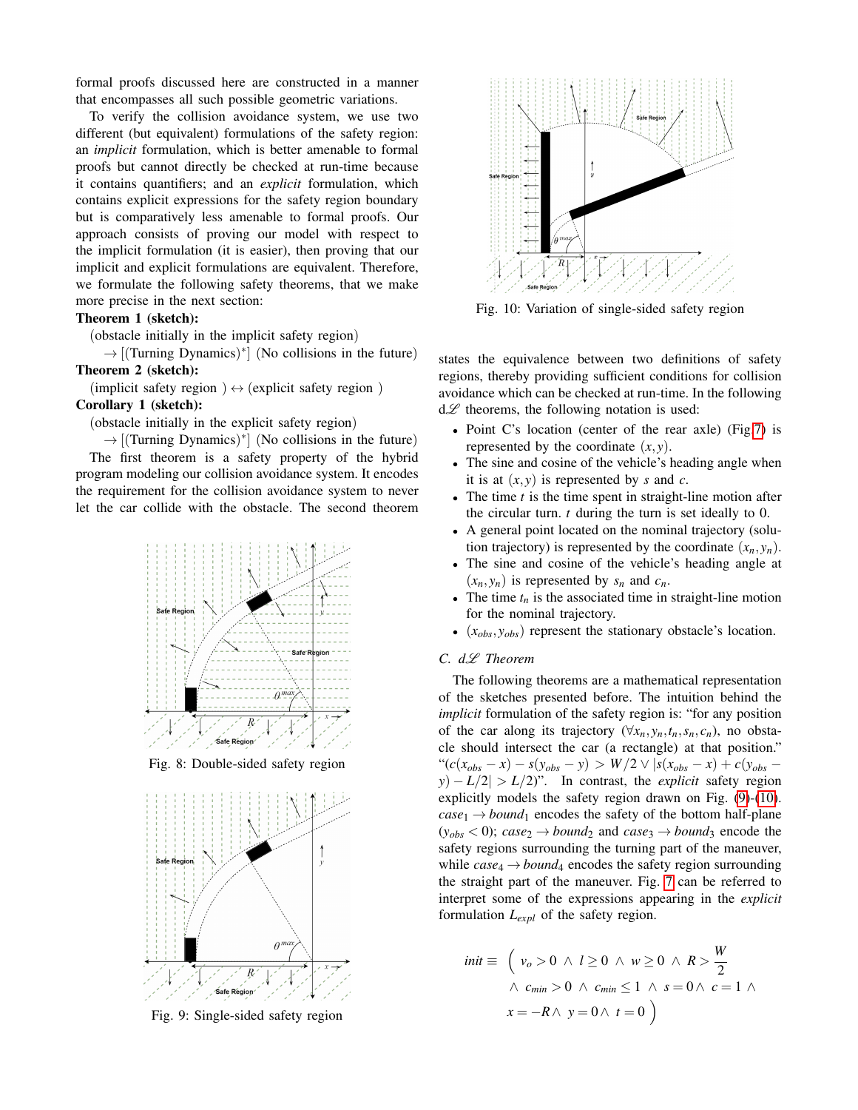formal proofs discussed here are constructed in a manner that encompasses all such possible geometric variations.

To verify the collision avoidance system, we use two different (but equivalent) formulations of the safety region: an *implicit* formulation, which is better amenable to formal proofs but cannot directly be checked at run-time because it contains quantifiers; and an *explicit* formulation, which contains explicit expressions for the safety region boundary but is comparatively less amenable to formal proofs. Our approach consists of proving our model with respect to the implicit formulation (it is easier), then proving that our implicit and explicit formulations are equivalent. Therefore, we formulate the following safety theorems, that we make more precise in the next section:

# Theorem 1 (sketch):

(obstacle initially in the implicit safety region)

 $\rightarrow$  [(Turning Dynamics)<sup>\*</sup>] (No collisions in the future) Theorem 2 (sketch):

(implicit safety region)  $\leftrightarrow$  (explicit safety region)

### Corollary 1 (sketch):

(obstacle initially in the explicit safety region)

 $\rightarrow$  [(Turning Dynamics)<sup>\*</sup>] (No collisions in the future) The first theorem is a safety property of the hybrid program modeling our collision avoidance system. It encodes the requirement for the collision avoidance system to never let the car collide with the obstacle. The second theorem

<span id="page-4-0"></span>

Fig. 8: Double-sided safety region

<span id="page-4-1"></span>

Fig. 9: Single-sided safety region

<span id="page-4-2"></span>

Fig. 10: Variation of single-sided safety region

states the equivalence between two definitions of safety regions, thereby providing sufficient conditions for collision avoidance which can be checked at run-time. In the following  $d\mathcal{L}$  theorems, the following notation is used:

- Point C's location (center of the rear axle) (Fig[.7\)](#page-3-4) is represented by the coordinate  $(x, y)$ .
- The sine and cosine of the vehicle's heading angle when it is at  $(x, y)$  is represented by *s* and *c*.
- The time *t* is the time spent in straight-line motion after the circular turn. *t* during the turn is set ideally to 0.
- A general point located on the nominal trajectory (solution trajectory) is represented by the coordinate  $(x_n, y_n)$ .
- The sine and cosine of the vehicle's heading angle at  $(x_n, y_n)$  is represented by  $s_n$  and  $c_n$ .
- The time  $t_n$  is the associated time in straight-line motion for the nominal trajectory.
- (*xobs*, *yobs*) represent the stationary obstacle's location.

## *C. d*L *Theorem*

The following theorems are a mathematical representation of the sketches presented before. The intuition behind the *implicit* formulation of the safety region is: "for any position of the car along its trajectory ( $\forall x_n, y_n, t_n, s_n, c_n$ ), no obstacle should intersect the car (a rectangle) at that position." " $(c(x_{obs} - x) - s(y_{obs} - y) > W/2 \vee |s(x_{obs} - x) + c(y_{obs} - y)|$ *y*) − *L*/2| > *L*/2)". In contrast, the *explicit* safety region explicitly models the safety region drawn on Fig. [\(9\)](#page-4-1)-[\(10\)](#page-4-2).  $case_1 \rightarrow bound_1$  encodes the safety of the bottom half-plane  $(y_{obs} < 0)$ ;  $case_2 \rightarrow bound_2$  and  $case_3 \rightarrow bound_3$  encode the safety regions surrounding the turning part of the maneuver, while  $case_4 \rightarrow bound_4$  encodes the safety region surrounding the straight part of the maneuver. Fig. [7](#page-3-4) can be referred to interpret some of the expressions appearing in the *explicit* formulation *Lexpl* of the safety region.

$$
init \equiv \left( v_o > 0 \land l \geq 0 \land w \geq 0 \land R > \frac{W}{2} \right. \\
\land \ c_{min} > 0 \land c_{min} \leq 1 \land s = 0 \land c = 1 \land \\
x = -R \land y = 0 \land t = 0 \right)
$$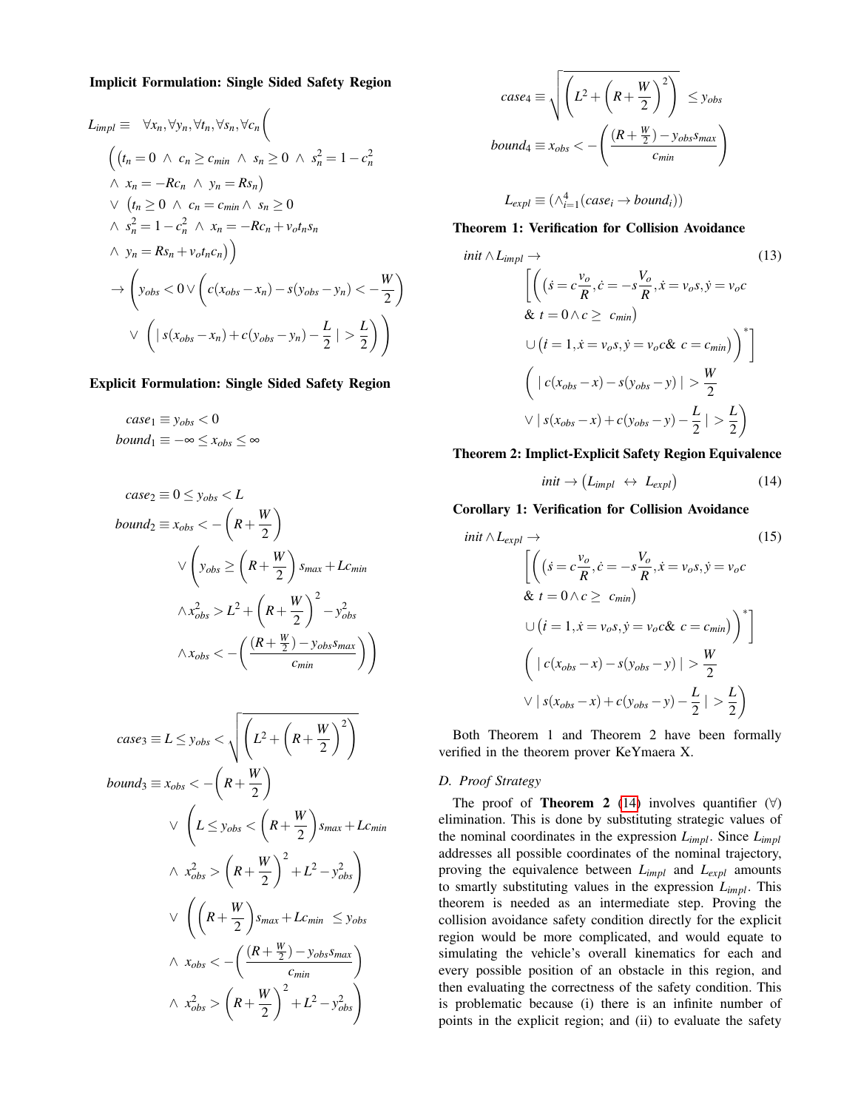Implicit Formulation: Single Sided Safety Region

$$
L_{impl} \equiv \forall x_n, \forall y_n, \forall t_n, \forall s_n, \forall c_n \left( \left( (t_n = 0 \land c_n \ge c_{min} \land s_n \ge 0 \land s_n^2 = 1 - c_n^2 \land x_n = -Rc_n \land y_n = Rs_n \right) \right) \lor \left( t_n \ge 0 \land c_n = c_{min} \land s_n \ge 0 \land s_n^2 = 1 - c_n^2 \land x_n = -Rc_n + v_o t_n s_n \land y_n = Rs_n + v_o t_n c_n \right) \rightarrow \left( y_{obs} < 0 \lor \left( c(x_{obs} - x_n) - s(y_{obs} - y_n) < -\frac{W}{2} \right) \right) \lor \left( | s(x_{obs} - x_n) + c(y_{obs} - y_n) - \frac{L}{2} | > \frac{L}{2} \right) \right)
$$

## Explicit Formulation: Single Sided Safety Region

$$
case_1 \equiv y_{obs} < 0
$$
\n
$$
bound_1 \equiv -\infty \le x_{obs} \le \infty
$$

$$
case_2 \equiv 0 \le y_{obs} < L
$$
\n
$$
bound_2 \equiv x_{obs} < -\left(R + \frac{W}{2}\right)
$$
\n
$$
\vee \left(y_{obs} \ge \left(R + \frac{W}{2}\right)s_{max} + Lc_{min}
$$
\n
$$
\wedge x_{obs}^2 > L^2 + \left(R + \frac{W}{2}\right)^2 - y_{obs}^2
$$
\n
$$
\wedge x_{obs} < -\left(\frac{\left(R + \frac{W}{2}\right) - y_{obs} s_{max}}{c_{min}}\right)\right)
$$

$$
case_3 \equiv L \le y_{obs} < \sqrt{\left(L^2 + \left(R + \frac{W}{2}\right)^2\right)}
$$
  
\n
$$
bound_3 \equiv x_{obs} < -\left(R + \frac{W}{2}\right)
$$
  
\n
$$
\lor \left(L \le y_{obs} < \left(R + \frac{W}{2}\right)s_{max} + Lc_{min}
$$
  
\n
$$
\land x_{obs}^2 > \left(R + \frac{W}{2}\right)^2 + L^2 - y_{obs}^2
$$
  
\n
$$
\lor \left(\left(R + \frac{W}{2}\right)s_{max} + Lc_{min} \le y_{obs}
$$
  
\n
$$
\land x_{obs} < -\left(\frac{\left(R + \frac{W}{2}\right) - y_{obs}s_{max}}{c_{min}}\right)
$$
  
\n
$$
\land x_{obs}^2 > \left(R + \frac{W}{2}\right)^2 + L^2 - y_{obs}^2
$$

$$
case_4 \equiv \sqrt{\left(L^2 + \left(R + \frac{W}{2}\right)^2\right)} \leq y_{obs}
$$
  
bound<sub>4</sub>  $\equiv x_{obs} < -\left(\frac{\left(R + \frac{W}{2}\right) - y_{obs} s_{max}}{c_{min}}\right)$ 

# <span id="page-5-1"></span> $L_{expl} \equiv (\wedge_{i=1}^4 (case_i \rightarrow bound_i))$

# Theorem 1: Verification for Collision Avoidance

$$
init \wedge L_{impl} \rightarrow (13)
$$
\n
$$
\left[ \left( (s = c \frac{v_o}{R}, c = -s \frac{V_o}{R}, \dot{x} = v_o s, \dot{y} = v_o c \right. \right.
$$
\n
$$
\& t = 0 \wedge c \geq c_{min} \right)
$$
\n
$$
\cup \left( i = 1, \dot{x} = v_o s, \dot{y} = v_o c \& c = c_{min} \right) \bigg)^* \right]
$$
\n
$$
\left( | c(x_{obs} - x) - s(y_{obs} - y) | > \frac{W}{2} \right)
$$
\n
$$
\vee | s(x_{obs} - x) + c(y_{obs} - y) - \frac{L}{2} | > \frac{L}{2} \right)
$$
\n(13)

### Theorem 2: Implict-Explicit Safety Region Equivalence

<span id="page-5-2"></span><span id="page-5-0"></span>
$$
init \rightarrow (L_{impl} \leftrightarrow L_{expl}) \tag{14}
$$

## Corollary 1: Verification for Collision Avoidance

$$
init \wedge L_{expl} \rightarrow (15)
$$
\n
$$
\left[ \left( \left( \dot{s} = c \frac{v_o}{R}, \dot{c} = -s \frac{V_o}{R}, \dot{x} = v_o s, \dot{y} = v_o c \right. \right.\right.
$$
\n
$$
\& t = 0 \wedge c \geq c_{min} \right)
$$
\n
$$
\cup \left( \dot{t} = 1, \dot{x} = v_o s, \dot{y} = v_o c \& c = c_{min} \right) \right)^* \left[ \left. \left( \left. \left( c(x_{obs} - x) - s(y_{obs} - y) \right) \right| > \frac{W}{2} \right. \right. \right.
$$
\n
$$
\vee \left. \left. \left( s(x_{obs} - x) + c(y_{obs} - y) - \frac{L}{2} \right| > \frac{L}{2} \right) \right]
$$
\n
$$
\left. \left( \left. \left( \frac{v_o}{v_{obs} - x} \right) + c(y_{obs} - y) - \frac{L}{2} \right| > \frac{L}{2} \right) \right)
$$
\n
$$
\left. \left( \frac{v_o}{v_{obs} - x} \right) + c(y_{obs} - y) - \frac{L}{2} \right| > \frac{L}{2} \right)
$$
\n
$$
\left. \left( \frac{v_o}{v_{obs} - x} \right) + c(y_{obs} - y) - \frac{L}{2} \right| > \frac{L}{2} \right)
$$
\n
$$
\left. \left( \frac{v_o}{v_{obs} - x} \right) + c(y_{obs} - y) - \frac{L}{2} \right| > \frac{L}{2} \right)
$$
\n
$$
\left. \left( \frac{v_o}{v_{obs} - x} \right) + c(y_{obs} - y) - \frac{L}{2} \right| > \frac{L}{2} \right)
$$
\n
$$
\left. \left( \frac{v_o}{v_{obs} - x} \right) + c(y_{obs} - y) - \frac{L}{2} \right| > \frac{L}{2} \right)
$$
\n
$$
\left. \left( \frac{v_o}{v_{obs} - x} \right) + c(y_{obs} - y) - \frac{L}{2} \right| > \frac{L}{2} \right)
$$
\n
$$
\left. \left( \frac{v
$$

Both Theorem 1 and Theorem 2 have been formally verified in the theorem prover KeYmaera X.

### *D. Proof Strategy*

The proof of **Theorem 2** [\(14\)](#page-5-0) involves quantifier  $(\forall)$ elimination. This is done by substituting strategic values of the nominal coordinates in the expression *Limpl*. Since *Limpl* addresses all possible coordinates of the nominal trajectory, proving the equivalence between *Limpl* and *Lexpl* amounts to smartly substituting values in the expression *Limpl*. This theorem is needed as an intermediate step. Proving the collision avoidance safety condition directly for the explicit region would be more complicated, and would equate to simulating the vehicle's overall kinematics for each and every possible position of an obstacle in this region, and then evaluating the correctness of the safety condition. This is problematic because (i) there is an infinite number of points in the explicit region; and (ii) to evaluate the safety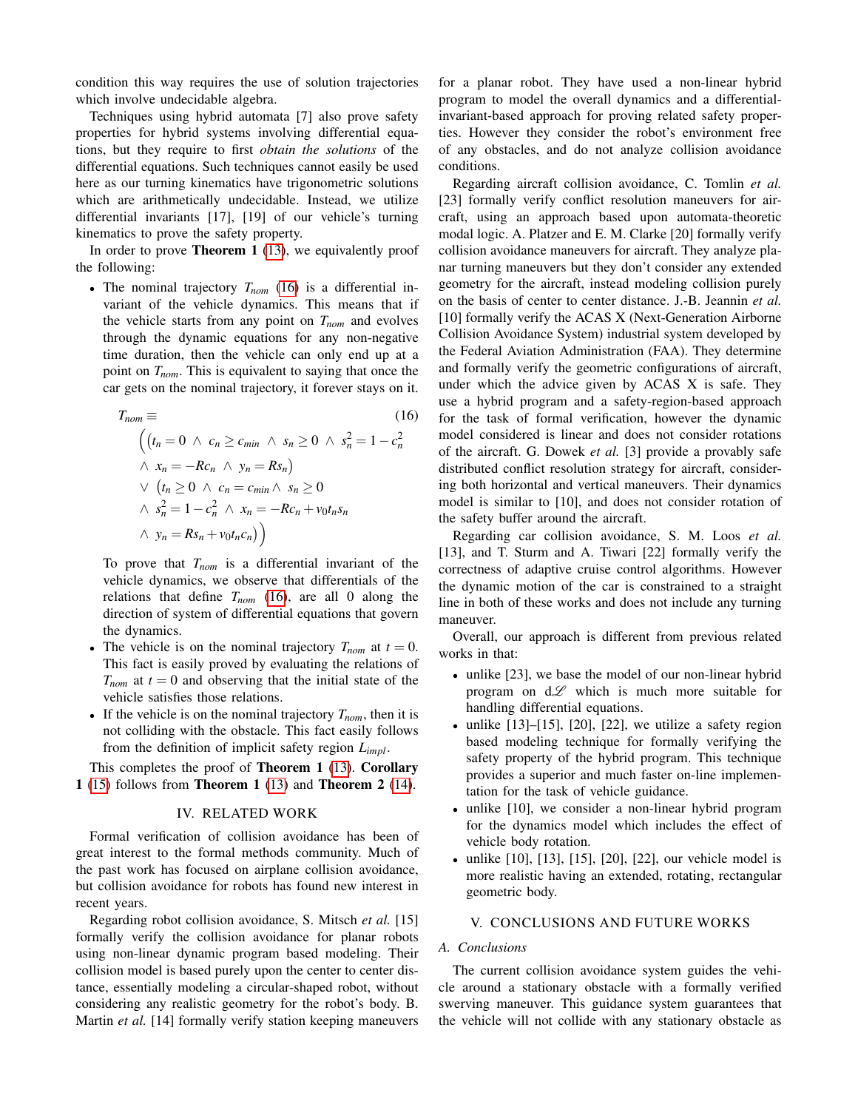condition this way requires the use of solution trajectories which involve undecidable algebra.

Techniques using hybrid automata [7] also prove safety properties for hybrid systems involving differential equations, but they require to first *obtain the solutions* of the differential equations. Such techniques cannot easily be used here as our turning kinematics have trigonometric solutions which are arithmetically undecidable. Instead, we utilize differential invariants [17], [19] of our vehicle's turning kinematics to prove the safety property.

In order to prove **Theorem 1** [\(13\)](#page-5-1), we equivalently proof the following:

• The nominal trajectory  $T_{nom}$  [\(16\)](#page-6-0) is a differential invariant of the vehicle dynamics. This means that if the vehicle starts from any point on *Tnom* and evolves through the dynamic equations for any non-negative time duration, then the vehicle can only end up at a point on *Tnom*. This is equivalent to saying that once the car gets on the nominal trajectory, it forever stays on it.

$$
T_{nom} \equiv (16)
$$
  
\n
$$
\left( (t_n = 0 \ \land \ c_n \ge c_{min} \ \land \ s_n \ge 0 \ \land \ s_n^2 = 1 - c_n^2 \right)
$$
  
\n
$$
\land \ x_n = -Rc_n \ \land \ y_n = Rs_n)
$$
  
\n
$$
\lor \ (t_n \ge 0 \ \land \ c_n = c_{min} \land \ s_n \ge 0
$$
  
\n
$$
\land \ s_n^2 = 1 - c_n^2 \ \land \ x_n = -Rc_n + v_0t_ns_n
$$
  
\n
$$
\land \ y_n = Rs_n + v_0t_nc_n)
$$

To prove that *Tnom* is a differential invariant of the vehicle dynamics, we observe that differentials of the relations that define *Tnom* [\(16\)](#page-6-0), are all 0 along the direction of system of differential equations that govern the dynamics.

- The vehicle is on the nominal trajectory  $T_{nom}$  at  $t = 0$ . This fact is easily proved by evaluating the relations of  $T_{nom}$  at  $t = 0$  and observing that the initial state of the vehicle satisfies those relations.
- If the vehicle is on the nominal trajectory  $T_{nom}$ , then it is not colliding with the obstacle. This fact easily follows from the definition of implicit safety region *Limpl*.

This completes the proof of **Theorem 1** [\(13\)](#page-5-1). Corollary 1 [\(15\)](#page-5-2) follows from Theorem 1 [\(13\)](#page-5-1) and Theorem 2 [\(14\)](#page-5-0).

### IV. RELATED WORK

Formal verification of collision avoidance has been of great interest to the formal methods community. Much of the past work has focused on airplane collision avoidance, but collision avoidance for robots has found new interest in recent years.

Regarding robot collision avoidance, S. Mitsch *et al.* [15] formally verify the collision avoidance for planar robots using non-linear dynamic program based modeling. Their collision model is based purely upon the center to center distance, essentially modeling a circular-shaped robot, without considering any realistic geometry for the robot's body. B. Martin *et al.* [14] formally verify station keeping maneuvers

for a planar robot. They have used a non-linear hybrid program to model the overall dynamics and a differentialinvariant-based approach for proving related safety properties. However they consider the robot's environment free of any obstacles, and do not analyze collision avoidance conditions.

Regarding aircraft collision avoidance, C. Tomlin *et al.* [23] formally verify conflict resolution maneuvers for aircraft, using an approach based upon automata-theoretic modal logic. A. Platzer and E. M. Clarke [20] formally verify collision avoidance maneuvers for aircraft. They analyze planar turning maneuvers but they don't consider any extended geometry for the aircraft, instead modeling collision purely on the basis of center to center distance. J.-B. Jeannin *et al.* [10] formally verify the ACAS X (Next-Generation Airborne Collision Avoidance System) industrial system developed by the Federal Aviation Administration (FAA). They determine and formally verify the geometric configurations of aircraft, under which the advice given by ACAS X is safe. They use a hybrid program and a safety-region-based approach for the task of formal verification, however the dynamic model considered is linear and does not consider rotations of the aircraft. G. Dowek *et al.* [3] provide a provably safe distributed conflict resolution strategy for aircraft, considering both horizontal and vertical maneuvers. Their dynamics model is similar to [10], and does not consider rotation of the safety buffer around the aircraft.

<span id="page-6-0"></span>Regarding car collision avoidance, S. M. Loos *et al.* [13], and T. Sturm and A. Tiwari [22] formally verify the correctness of adaptive cruise control algorithms. However the dynamic motion of the car is constrained to a straight line in both of these works and does not include any turning maneuver.

Overall, our approach is different from previous related works in that:

- unlike [23], we base the model of our non-linear hybrid program on  $d\mathscr{L}$  which is much more suitable for handling differential equations.
- unlike  $[13]$ – $[15]$ ,  $[20]$ ,  $[22]$ , we utilize a safety region based modeling technique for formally verifying the safety property of the hybrid program. This technique provides a superior and much faster on-line implementation for the task of vehicle guidance.
- unlike [10], we consider a non-linear hybrid program for the dynamics model which includes the effect of vehicle body rotation.
- unlike [10], [13], [15], [20], [22], our vehicle model is more realistic having an extended, rotating, rectangular geometric body.

### V. CONCLUSIONS AND FUTURE WORKS

## *A. Conclusions*

The current collision avoidance system guides the vehicle around a stationary obstacle with a formally verified swerving maneuver. This guidance system guarantees that the vehicle will not collide with any stationary obstacle as